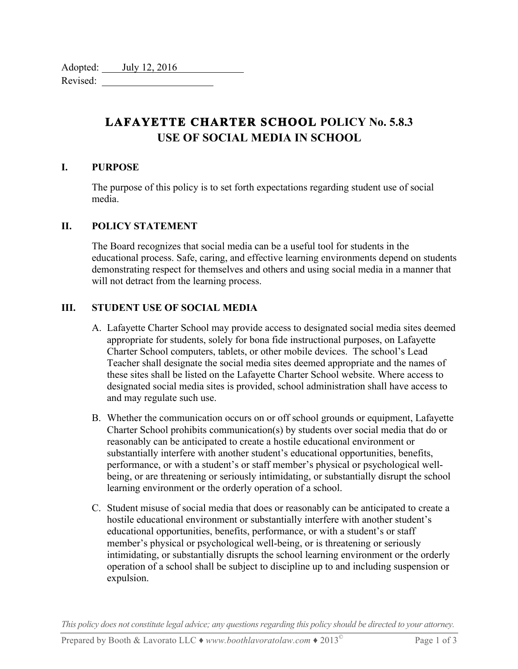| Adopted: | July 12, 2016 |  |
|----------|---------------|--|
| Revised: |               |  |

# **LAFAYETTE CHARTER SCHOOL POLICY No. 5.8.3 USE OF SOCIAL MEDIA IN SCHOOL**

#### **I. PURPOSE**

The purpose of this policy is to set forth expectations regarding student use of social media.

#### **II. POLICY STATEMENT**

The Board recognizes that social media can be a useful tool for students in the educational process. Safe, caring, and effective learning environments depend on students demonstrating respect for themselves and others and using social media in a manner that will not detract from the learning process.

## **III. STUDENT USE OF SOCIAL MEDIA**

- A. Lafayette Charter School may provide access to designated social media sites deemed appropriate for students, solely for bona fide instructional purposes, on Lafayette Charter School computers, tablets, or other mobile devices. The school's Lead Teacher shall designate the social media sites deemed appropriate and the names of these sites shall be listed on the Lafayette Charter School website. Where access to designated social media sites is provided, school administration shall have access to and may regulate such use.
- B. Whether the communication occurs on or off school grounds or equipment, Lafayette Charter School prohibits communication(s) by students over social media that do or reasonably can be anticipated to create a hostile educational environment or substantially interfere with another student's educational opportunities, benefits, performance, or with a student's or staff member's physical or psychological wellbeing, or are threatening or seriously intimidating, or substantially disrupt the school learning environment or the orderly operation of a school.
- C. Student misuse of social media that does or reasonably can be anticipated to create a hostile educational environment or substantially interfere with another student's educational opportunities, benefits, performance, or with a student's or staff member's physical or psychological well-being, or is threatening or seriously intimidating, or substantially disrupts the school learning environment or the orderly operation of a school shall be subject to discipline up to and including suspension or expulsion.

*This policy does not constitute legal advice; any questions regarding this policy should be directed to your attorney.*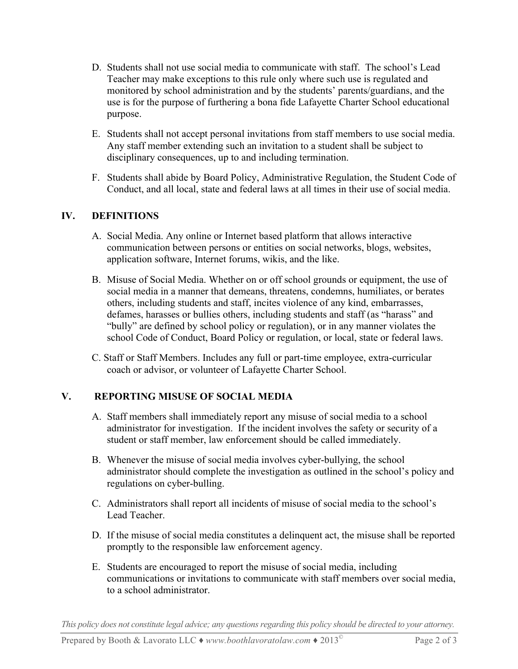- D. Students shall not use social media to communicate with staff. The school's Lead Teacher may make exceptions to this rule only where such use is regulated and monitored by school administration and by the students' parents/guardians, and the use is for the purpose of furthering a bona fide Lafayette Charter School educational purpose.
- E. Students shall not accept personal invitations from staff members to use social media. Any staff member extending such an invitation to a student shall be subject to disciplinary consequences, up to and including termination.
- F. Students shall abide by Board Policy, Administrative Regulation, the Student Code of Conduct, and all local, state and federal laws at all times in their use of social media.

# **IV. DEFINITIONS**

- A. Social Media. Any online or Internet based platform that allows interactive communication between persons or entities on social networks, blogs, websites, application software, Internet forums, wikis, and the like.
- B. Misuse of Social Media. Whether on or off school grounds or equipment, the use of social media in a manner that demeans, threatens, condemns, humiliates, or berates others, including students and staff, incites violence of any kind, embarrasses, defames, harasses or bullies others, including students and staff (as "harass" and "bully" are defined by school policy or regulation), or in any manner violates the school Code of Conduct, Board Policy or regulation, or local, state or federal laws.
- C. Staff or Staff Members. Includes any full or part-time employee, extra-curricular coach or advisor, or volunteer of Lafayette Charter School.

# **V. REPORTING MISUSE OF SOCIAL MEDIA**

- A. Staff members shall immediately report any misuse of social media to a school administrator for investigation. If the incident involves the safety or security of a student or staff member, law enforcement should be called immediately.
- B. Whenever the misuse of social media involves cyber-bullying, the school administrator should complete the investigation as outlined in the school's policy and regulations on cyber-bulling.
- C. Administrators shall report all incidents of misuse of social media to the school's Lead Teacher.
- D. If the misuse of social media constitutes a delinquent act, the misuse shall be reported promptly to the responsible law enforcement agency.
- E. Students are encouraged to report the misuse of social media, including communications or invitations to communicate with staff members over social media, to a school administrator.

*This policy does not constitute legal advice; any questions regarding this policy should be directed to your attorney.*